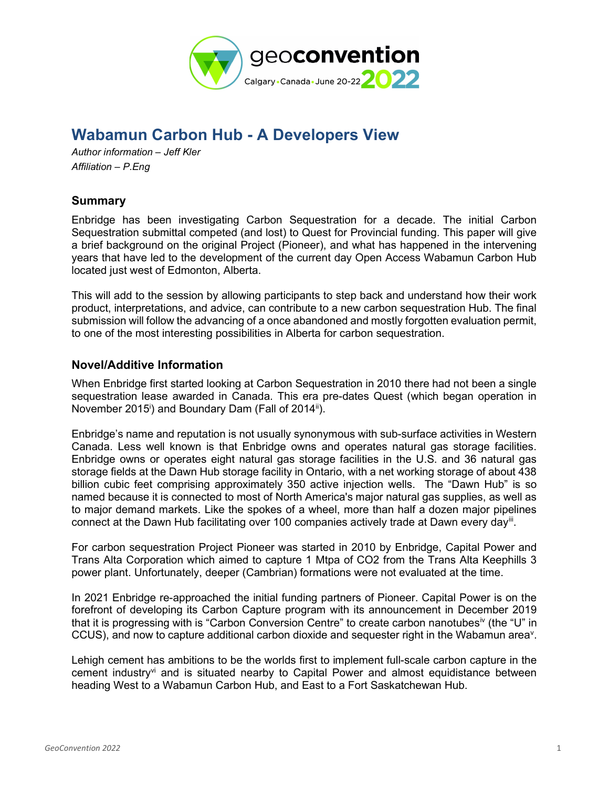

# Wabamun Carbon Hub - A Developers View

Author information – Jeff Kler Affiliation – P.Eng

## **Summary**

Enbridge has been investigating Carbon Sequestration for a decade. The initial Carbon Sequestration submittal competed (and lost) to Quest for Provincial funding. This paper will give a brief background on the original Project (Pioneer), and what has happened in the intervening years that have led to the development of the current day Open Access Wabamun Carbon Hub located just west of Edmonton, Alberta.

This will add to the session by allowing participants to step back and understand how their work product, interpretations, and advice, can contribute to a new carbon sequestration Hub. The final submission will follow the advancing of a once abandoned and mostly forgotten evaluation permit, to one of the most interesting possibilities in Alberta for carbon sequestration.

### Novel/Additive Information

When Enbridge first started looking at Carbon Sequestration in 2010 there had not been a single sequestration lease awarded in Canada. This era pre-dates Quest (which began operation in November 2015<sup>i</sup>) and Boundary Dam (Fall of 2014<sup>ii</sup>).

Enbridge's name and reputation is not usually synonymous with sub-surface activities in Western Canada. Less well known is that Enbridge owns and operates natural gas storage facilities. Enbridge owns or operates eight natural gas storage facilities in the U.S. and 36 natural gas storage fields at the Dawn Hub storage facility in Ontario, with a net working storage of about 438 billion cubic feet comprising approximately 350 active injection wells. The "Dawn Hub" is so named because it is connected to most of North America's major natural gas supplies, as well as to major demand markets. Like the spokes of a wheel, more than half a dozen major pipelines connect at the Dawn Hub facilitating over 100 companies actively trade at Dawn every day<sup>iii</sup>.

For carbon sequestration Project Pioneer was started in 2010 by Enbridge, Capital Power and Trans Alta Corporation which aimed to capture 1 Mtpa of CO2 from the Trans Alta Keephills 3 power plant. Unfortunately, deeper (Cambrian) formations were not evaluated at the time.

In 2021 Enbridge re-approached the initial funding partners of Pioneer. Capital Power is on the forefront of developing its Carbon Capture program with its announcement in December 2019 that it is progressing with is "Carbon Conversion Centre" to create carbon nanotubes<sup>iv</sup> (the "U" in CCUS), and now to capture additional carbon dioxide and sequester right in the Wabamun area<sup>v</sup>.

Lehigh cement has ambitions to be the worlds first to implement full-scale carbon capture in the cement industry<sup>vi</sup> and is situated nearby to Capital Power and almost equidistance between heading West to a Wabamun Carbon Hub, and East to a Fort Saskatchewan Hub.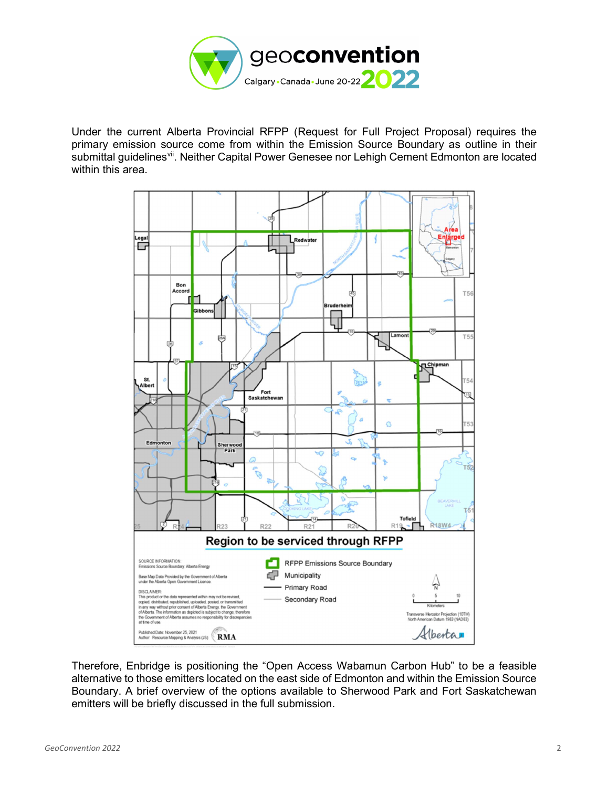

Under the current Alberta Provincial RFPP (Request for Full Project Proposal) requires the primary emission source come from within the Emission Source Boundary as outline in their submittal guidelines<sup>vii</sup>. Neither Capital Power Genesee nor Lehigh Cement Edmonton are located within this area.



Therefore, Enbridge is positioning the "Open Access Wabamun Carbon Hub" to be a feasible alternative to those emitters located on the east side of Edmonton and within the Emission Source Boundary. A brief overview of the options available to Sherwood Park and Fort Saskatchewan emitters will be briefly discussed in the full submission.